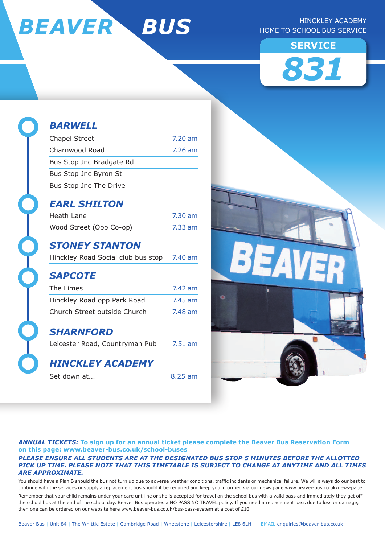

#### Hinckley Academy HOME TO SCHOOL BUS SERVICE





# *BARWELL*

| <b>Chapel Street</b>     | $7.20 \text{ am}$ |
|--------------------------|-------------------|
| Charnwood Road           | 7.26 am           |
| Bus Stop Jnc Bradgate Rd |                   |
| Bus Stop Jnc Byron St    |                   |
| Bus Stop Jnc The Drive   |                   |

### *EARL SHILTON*

| Heath Lane              | 7.30 am |
|-------------------------|---------|
| Wood Street (Opp Co-op) | 7.33 am |

### *STONEY STANTON*

| Hinckley Road Social club bus stop |  |  |  | 7.40 am |
|------------------------------------|--|--|--|---------|
|------------------------------------|--|--|--|---------|

### *SAPCOTE*

| The Limes                    | 7.42 am   |
|------------------------------|-----------|
| Hinckley Road opp Park Road  | $7.45$ am |
| Church Street outside Church | 7.48 am   |

#### *SHARNFORD*

Leicester Road, Countryman Pub 7.51 am

### *HINCKLEY ACADEMY*

Set down at... 8.25 am



#### *ANNUAL TICKETs:* **To sign up for an annual ticket please complete the Beaver Bus Reservation Form on this page: www.beaver-bus.co.uk/school-buses**

#### *Please ensure all students are at the designated bus stop 5 minutes before the allotted pick up time. Please note that this timetable is subject to change at anytime and all times are approximate.*

You should have a Plan B should the bus not turn up due to adverse weather conditions, traffic incidents or mechanical failure. We will always do our best to continue with the services or supply a replacement bus should it be required and keep you informed via our news page www.beaver-bus.co.uk/news-page Remember that your child remains under your care until he or she is accepted for travel on the school bus with a valid pass and immediately they get off the school bus at the end of the school day. Beaver Bus operates a NO PASS NO TRAVEL policy. If you need a replacement pass due to loss or damage, then one can be ordered on our website here www.beaver-bus.co.uk/bus-pass-system at a cost of £10.